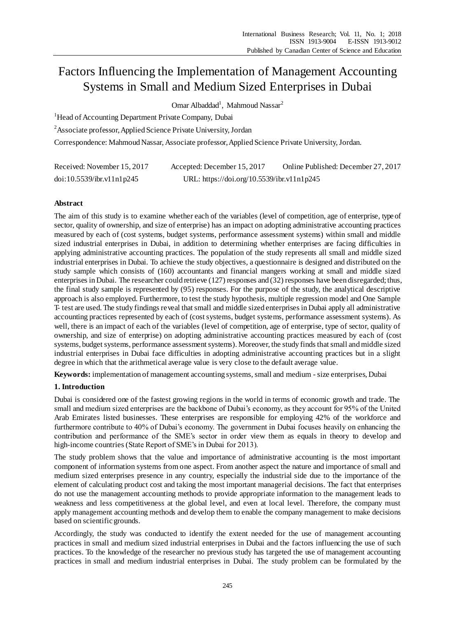# Factors Influencing the Implementation of Management Accounting Systems in Small and Medium Sized Enterprises in Dubai

Omar Albaddad<sup>1</sup>, Mahmoud Nassar<sup>2</sup>

<sup>1</sup>Head of Accounting Department Private Company, Dubai

<sup>2</sup>Associate professor, Applied Science Private University, Jordan

Correspondence: Mahmoud Nassar, Associate professor, Applied Science Private University, Jordan.

| Received: November 15, 2017 | Accepted: December 15, 2017                | Online Published: December 27, 2017 |
|-----------------------------|--------------------------------------------|-------------------------------------|
| doi:10.5539/ibr.v11nlp245   | URL: https://doi.org/10.5539/ibr.v11n1p245 |                                     |

# **Abstract**

The aim of this study is to examine whether each of the variables (level of competition, age of enterprise, type of sector, quality of ownership, and size of enterprise) has an impact on adopting administrative accounting practices measured by each of (cost systems, budget systems, performance assessment systems) within small and middle sized industrial enterprises in Dubai, in addition to determining whether enterprises are facing difficulties in applying administrative accounting practices. The population of the study represents all small and middle sized industrial enterprises in Dubai. To achieve the study objectives, a questionnaire is designed and distributed on the study sample which consists of (160) accountants and financial mangers working at small and middle sized enterprises in Dubai. The researcher could retrieve (127) responses and (32) responses have been disregarded; thus, the final study sample is represented by (95) responses. For the purpose of the study, the analytical descriptive approach is also employed. Furthermore, to test the study hypothesis, multiple regression model and One Sample T- test are used. The study findings reveal that small and middle sized enterprises in Dubai apply all administrative accounting practices represented by each of (cost systems, budget systems, performance assessment systems). As well, there is an impact of each of the variables (level of competition, age of enterprise, type of sector, quality of ownership, and size of enterprise) on adopting administrative accounting practices measured by each of (cost systems, budget systems, performance assessment systems). Moreover, the study finds that small and middle sized industrial enterprises in Dubai face difficulties in adopting administrative accounting practices but in a slight degree in which that th[e arithmetical average](http://www.arabdict.com/en/english-arabic/arithmetical+average) value is very close to the default average value.

**Keywords:** implementation of management accounting systems, small and medium - size enterprises, Dubai

# **1. Introduction**

Dubai is considered one of the fastest growing regions in the world in terms of economic growth and trade. The small and medium sized enterprises are the backbone of Dubai's economy, as they account for 95% of the United Arab Emirates listed businesses. These enterprises are responsible for employing 42% of the workforce and furthermore contribute to 40% of Dubai's economy. The government in Dubai focuses heavily on enhancing the contribution and performance of the SME's sector in order view them as equals in theory to develop and high-income countries (State Report of SME's in Dubai for 2013).

The study problem shows that the value and importance of administrative accounting is the most important component of information systems from one aspect. From another aspect the nature and importance of small and medium sized enterprises presence in any country, especially the industrial side due to the importance of the element of calculating product cost and taking the most important managerial decisions. The fact that enterprises do not use the management accounting methods to provide appropriate information to the management leads to weakness and less competitiveness at the global level, and even at local level. Therefore, the company must apply management accounting methods and develop them to enable the company management to make decisions based on scientific grounds.

Accordingly, the study was conducted to identify the extent needed for the use of management accounting practices in small and medium sized industrial enterprises in Dubai and the factors influencing the use of such practices. To the knowledge of the researcher no previous study has targeted the use of management accounting practices in small and medium industrial enterprises in Dubai. The study problem can be formulated by the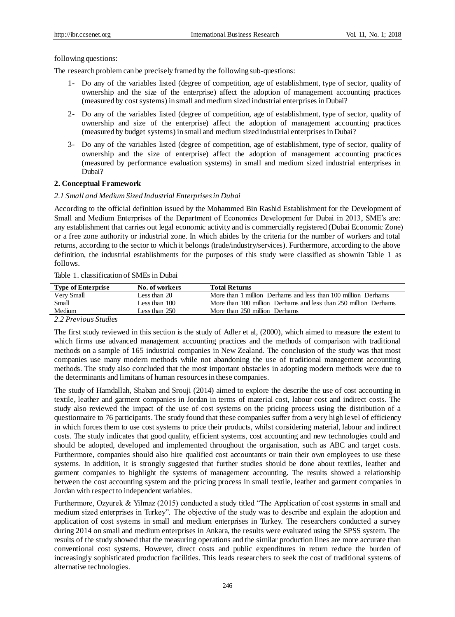#### following questions:

The research problem can be precisely framed by the following sub-questions:

- 1- Do any of the variables listed (degree of competition, age of establishment, type of sector, quality of ownership and the size of the enterprise) affect the adoption of management accounting practices (measured by cost systems) in small and medium sized industrial enterprises in Dubai?
- 2- Do any of the variables listed (degree of competition, age of establishment, type of sector, quality of ownership and size of the enterprise) affect the adoption of management accounting practices (measured by budget systems) in small and medium sized industrial enterprises in Dubai?
- 3- Do any of the variables listed (degree of competition, age of establishment, type of sector, quality of ownership and the size of enterprise) affect the adoption of management accounting practices (measured by performance evaluation systems) in small and medium sized industrial enterprises in Dubai?

## **2. Conceptual Framework**

## *2.1 Small and Medium Sized Industrial Enterprises in Dubai*

According to the official definition issued by the Mohammed Bin Rashid Establishment for the Development of Small and Medium Enterprises of the Department of Economics Development for Dubai in 2013, SME's are: any establishment that carries out legal economic activity and is commercially registered (Dubai Economic Zone) or a free zone authority or industrial zone. In which abides by the criteria for the number of workers and total returns, according to the sector to which it belongs (trade/industry/services). Furthermore, according to the above definition, the industrial establishments for the purposes of this study were classified as shownin Table 1 as follows.

#### Table 1. classification of SMEs in Dubai

| <b>Type of Enterprise</b>   | No. of workers | <b>Total Returns</b>                                            |
|-----------------------------|----------------|-----------------------------------------------------------------|
| Very Small                  | Less than 20 - | More than 1 million Derhams and less than 100 million Derhams   |
| Small                       | Less than 100  | More than 100 million Derhams and less than 250 million Derhams |
| Medium                      | Less than 250  | More than 250 million Derhams                                   |
| $\sim$ $\sim$ $\sim$<br>- - |                |                                                                 |

## *2.2 Previous Studies*

The first study reviewed in this section is the study of Adler et al, (2000), which aimed to measure the extent to which firms use advanced management accounting practices and the methods of comparison with traditional methods on a sample of 165 industrial companies in New Zealand. The conclusion of the study was that most companies use many modern methods while not abandoning the use of traditional management accounting methods. The study also concluded that the most important obstacles in adopting modern methods were due to the determinants and limitans of human resources in these companies.

The study of Hamdallah, Shaban and Srouji (2014) aimed to explore the describe the use of cost accounting in textile, leather and garment companies in Jordan in terms of material cost, labour cost and indirect costs. The study also reviewed the impact of the use of cost systems on the pricing process using the distribution of a questionnaire to 76 participants. The study found that these companies suffer from a very high level of efficiency in which forces them to use cost systems to price their products, whilst considering material, labour and indirect costs. The study indicates that good quality, efficient systems, cost accounting and new technologies could and should be adopted, developed and implemented throughout the organisation, such as ABC and target costs. Furthermore, companies should also hire qualified cost accountants or train their own employees to use these systems. In addition, it is strongly suggested that further studies should be done about textiles, leather and garment companies to highlight the systems of management accounting. The results showed a relationship between the cost accounting system and the pricing process in small textile, leather and garment companies in Jordan with respect to independent variables.

Furthermore, Ozyurek & Yilmaz (2015) conducted a study titled "The Application of cost systems in small and medium sized enterprises in Turkey". The objective of the study was to describe and explain the adoption and application of cost systems in small and medium enterprises in Turkey. The researchers conducted a survey during 2014 on small and medium enterprises in Ankara, the results were evaluated using the SPSS system. The results of the study showed that the measuring operations and the similar production lines are more accurate than conventional cost systems. However, direct costs and public expenditures in return reduce the burden of increasingly sophisticated production facilities. This leads researchers to seek the cost of traditional systems of alternative technologies.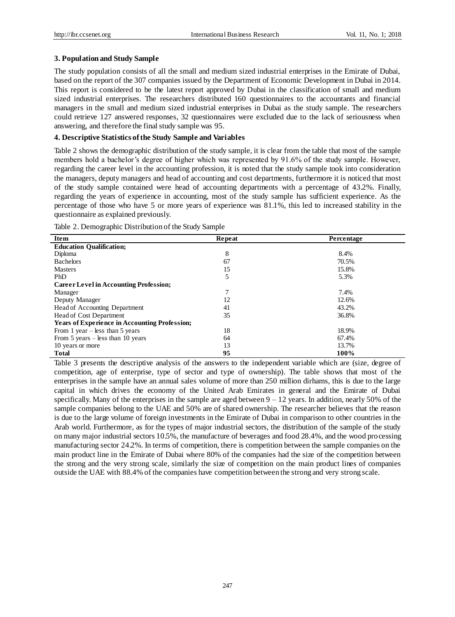# **3. Population and Study Sample**

The study population consists of all the small and medium sized industrial enterprises in the Emirate of Dubai, based on the report of the 307 companies issued by the Department of Economic Development in Dubai in 2014. This report is considered to be the latest report approved by Dubai in the classification of small and medium sized industrial enterprises. The researchers distributed 160 questionnaires to the accountants and financial managers in the small and medium sized industrial enterprises in Dubai as the study sample. The researchers could retrieve 127 answered responses, 32 questionnaires were excluded due to the lack of seriousness when answering, and therefore the final study sample was 95.

# **4. Descriptive Statistics of the Study Sample and Variables**

Table 2 shows the demographic distribution of the study sample, it is clear from the table that most of the sample members hold a bachelor's degree of higher which was represented by 91.6% of the study sample. However, regarding the career level in the accounting profession, it is noted that the study sample took into consideration the managers, deputy managers and head of accounting and cost departments, furthermore it is noticed that most of the study sample contained were head of accounting departments with a percentage of 43.2%. Finally, regarding the years of experience in accounting, most of the study sample has sufficient experience. As the percentage of those who have 5 or more years of experience was 81.1%, this led to increased stability in the questionnaire as explained previously.

|  | Table 2. Demographic Distribution of the Study Sample |
|--|-------------------------------------------------------|
|  |                                                       |

| <b>Item</b>                                          | Repeat | Percentage |
|------------------------------------------------------|--------|------------|
| <b>Education Qualification;</b>                      |        |            |
| Diploma                                              | 8      | 8.4%       |
| <b>Bachelors</b>                                     | 67     | 70.5%      |
| <b>Masters</b>                                       | 15     | 15.8%      |
| Ph <sub>D</sub>                                      | 5      | 5.3%       |
| <b>Career Level in Accounting Profession;</b>        |        |            |
| Manager                                              | ┑      | 7.4%       |
| Deputy Manager                                       | 12     | 12.6%      |
| Head of Accounting Department                        | 41     | 43.2%      |
| Head of Cost Department                              | 35     | 36.8%      |
| <b>Years of Experience in Accounting Profession;</b> |        |            |
| From 1 year $-$ less than 5 years                    | 18     | 18.9%      |
| From $5$ years $-$ less than 10 years                | 64     | 67.4%      |
| 10 years or more                                     | 13     | 13.7%      |
| <b>Total</b>                                         | 95     | 100%       |

Table 3 presents the descriptive analysis of the answers to the independent variable which are (size, degree of competition, age of enterprise, type of sector and type of ownership). The table shows that most of the enterprises in the sample have an annual sales volume of more than 250 million dirhams, this is due to the large capital in which drives the economy of the United Arab Emirates in general and the Emirate of Dubai specifically. Many of the enterprises in the sample are aged between  $9 - 12$  years. In addition, nearly 50% of the sample companies belong to the UAE and 50% are of shared ownership. The researcher believes that the reason is due to the large volume of foreign investments in the Emirate of Dubai in comparison to other countries in the Arab world. Furthermore, as for the types of major industrial sectors, the distribution of the sample of the study on many major industrial sectors 10.5%, the manufacture of beverages and food 28.4%, and the wood processing manufacturing sector 24.2%. In terms of competition, there is competition between the sample companies on the main product line in the Emirate of Dubai where 80% of the companies had the size of the competition between the strong and the very strong scale, similarly the size of competition on the main product lines of companies outside the UAE with 88.4% of the companies have competition between the strong and very strong scale.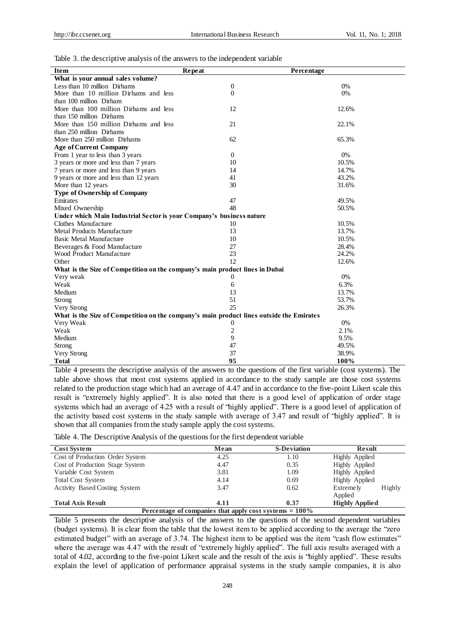Table 3. the descriptive analysis of the answers to the independent variable

| <b>Item</b>                                                                              | Repeat           | Percentage |
|------------------------------------------------------------------------------------------|------------------|------------|
| What is your annual sales volume?                                                        |                  |            |
| Less than 10 million Dirhams                                                             | $\boldsymbol{0}$ | 0%         |
| More than 10 million Dirhams and less                                                    | $\overline{0}$   | 0%         |
| than 100 million Dirham                                                                  |                  |            |
| More than 100 million Dirhams and less                                                   | 12               | 12.6%      |
| than 150 million Dirhams                                                                 |                  |            |
| More than 150 million Dirhams and less                                                   | 21               | 22.1%      |
| than 250 million Dirhams                                                                 |                  |            |
| More than 250 million Dirhams                                                            | 62               | 65.3%      |
| <b>Age of Current Company</b>                                                            |                  |            |
| From 1 year to less than 3 years                                                         | $\overline{0}$   | 0%         |
| 3 years or more and less than 7 years                                                    | 10               | 10.5%      |
| 7 years or more and less than 9 years                                                    | 14               | 14.7%      |
| 9 years or more and less than 12 years                                                   | 41               | 43.2%      |
| More than 12 years                                                                       | 30               | 31.6%      |
| <b>Type of Ownership of Company</b>                                                      |                  |            |
| Emirates                                                                                 | 47               | 49.5%      |
| Mixed Ownership                                                                          | 48               | 50.5%      |
| Under which Main Industrial Sector is your Company's business nature                     |                  |            |
| Clothes Manufacture                                                                      | 10               | 10.5%      |
| <b>Metal Products Manufacture</b>                                                        | 13               | 13.7%      |
| Basic Metal Manufacture                                                                  | 10               | 10.5%      |
| Beverages & Food Manufacture                                                             | 27               | 28.4%      |
| Wood Product Manufacture                                                                 | 23               | 24.2%      |
| Other                                                                                    | 12               | 12.6%      |
| What is the Size of Competition on the company's main product lines in Dubai             |                  |            |
| Very weak                                                                                | $\Omega$         | $0\%$      |
| Weak                                                                                     | 6                | 6.3%       |
| Medium                                                                                   | 13               | 13.7%      |
| Strong                                                                                   | 51               | 53.7%      |
| Very Strong                                                                              | 25               | 26.3%      |
| What is the Size of Competition on the company's main product lines outside the Emirates |                  |            |
| Very Weak                                                                                | 0                | 0%         |
| Weak                                                                                     | $\overline{c}$   | 2.1%       |
| Medium                                                                                   | 9                | 9.5%       |
| Strong                                                                                   | 47               | 49.5%      |
| Very Strong                                                                              | 37               | 38.9%      |
| <b>Total</b>                                                                             | 95               | 100%       |

Table 4 presents the descriptive analysis of the answers to the questions of the first variable (cost systems). The table above shows that most cost systems applied in accordance to the study sample are those cost systems related to the production stage which had an average of 4.47 and in accordance to the five-point Likert scale this result is "extremely highly applied". It is also noted that there is a good level of application of order stage systems which had an average of 4.25 with a result of "highly applied". There is a good level of application of the activity based cost systems in the study sample with average of 3.47 and result of "highly applied". It is shown that all companies from the study sample apply the cost systems.

Table 4. The Descriptive Analysis of the questions for the first dependent variable

| <b>Cost System</b>                                        | Mean | <b>S-Deviation</b> | <b>Result</b>         |  |  |  |
|-----------------------------------------------------------|------|--------------------|-----------------------|--|--|--|
| Cost of Production Order System                           | 4.25 | 1.10               | Highly Applied        |  |  |  |
| Cost of Production Stage System                           | 4.47 | 0.35               | Highly Applied        |  |  |  |
| Variable Cost System                                      | 3.81 | 1.09               | Highly Applied        |  |  |  |
| <b>Total Cost System</b>                                  | 4.14 | 0.69               | Highly Applied        |  |  |  |
| <b>Activity Based Costing System</b>                      | 3.47 | 0.62               | Extremely<br>Highly   |  |  |  |
|                                                           |      |                    | Applied               |  |  |  |
| <b>Total Axis Result</b>                                  | 4.11 | 0.37               | <b>Highly Applied</b> |  |  |  |
| Percentage of companies that apply cost systems $= 100\%$ |      |                    |                       |  |  |  |

Table 5 presents the descriptive analysis of the answers to the questions of the second dependent variables (budget systems). It is clear from the table that the lowest item to be applied according to the average the "zero estimated budget" with an average of 3.74. The highest item to be applied was the item "cash flow estimates" where the average was 4.47 with the result of "extremely highly applied". The full axis results averaged with a total of 4.02, according to the five-point Likert scale and the result of the axis is "highly applied". These results explain the level of application of performance appraisal systems in the study sample companies, it is also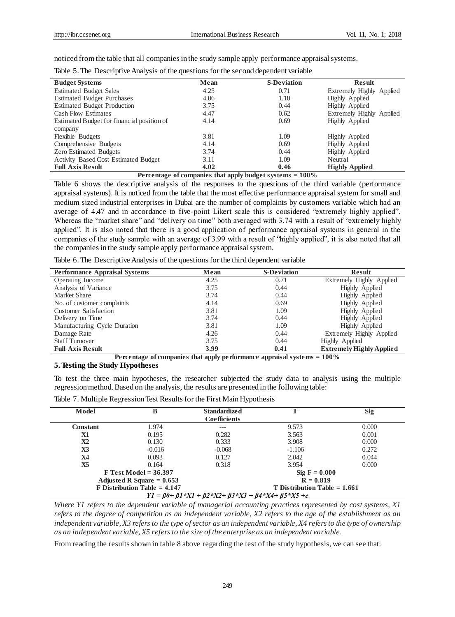noticed from the table that all companies in the study sample apply performance appraisal systems.

|  |  | Table 5. The Descriptive Analysis of the questions for the second dependent variable |
|--|--|--------------------------------------------------------------------------------------|
|  |  |                                                                                      |

| <b>Budget Systems</b>                       | Mean | <b>S-Deviation</b>                                          | <b>Result</b>            |
|---------------------------------------------|------|-------------------------------------------------------------|--------------------------|
| <b>Estimated Budget Sales</b>               | 4.25 | 0.71                                                        | Extremely Highly Applied |
| <b>Estimated Budget Purchases</b>           | 4.06 | 1.10                                                        | Highly Applied           |
| <b>Estimated Budget Production</b>          | 3.75 | 0.44                                                        | Highly Applied           |
| Cash Flow Estimates                         | 4.47 | 0.62                                                        | Extremely Highly Applied |
| Estimated Budget for financial position of  | 4.14 | 0.69                                                        | Highly Applied           |
| company                                     |      |                                                             |                          |
| Flexible Budgets                            | 3.81 | 1.09                                                        | Highly Applied           |
| Comprehensive Budgets                       | 4.14 | 0.69                                                        | Highly Applied           |
| <b>Zero Estimated Budgets</b>               | 3.74 | 0.44                                                        | Highly Applied           |
| <b>Activity Based Cost Estimated Budget</b> | 3.11 | 1.09                                                        | Neutral                  |
| <b>Full Axis Result</b>                     | 4.02 | 0.46                                                        | <b>Highly Applied</b>    |
|                                             |      | Percentage of companies that apply budget systems $= 100\%$ |                          |

Table 6 shows the descriptive analysis of the responses to the questions of the third variable (performance appraisal systems). It is noticed from the table that the most effective performance appraisal system for small and medium sized industrial enterprises in Dubai are the number of complaints by customers variable which had an average of 4.47 and in accordance to five-point Likert scale this is considered "extremely highly applied". Whereas the "market share" and "delivery on time" both averaged with 3.74 with a result of "extremely highly applied". It is also noted that there is a good application of performance appraisal systems in general in the companies of the study sample with an average of 3.99 with a result of "highly applied", it is also noted that all the companies in the study sample apply performance appraisal system.

Table 6. The Descriptive Analysis of the questions for the third dependent variable

| <b>Performance Appraisal Systems</b> | Mean | <b>S-Deviation</b>                                                         | <b>Result</b>                   |
|--------------------------------------|------|----------------------------------------------------------------------------|---------------------------------|
| Operating Income                     | 4.25 | 0.71                                                                       | Extremely Highly Applied        |
| Analysis of Variance                 | 3.75 | 0.44                                                                       | Highly Applied                  |
| Market Share                         | 3.74 | 0.44                                                                       | Highly Applied                  |
| No. of customer complaints           | 4.14 | 0.69                                                                       | Highly Applied                  |
| Customer Satisfaction                | 3.81 | 1.09                                                                       | Highly Applied                  |
| Delivery on Time                     | 3.74 | 0.44                                                                       | Highly Applied                  |
| Manufacturing Cycle Duration         | 3.81 | 1.09                                                                       | Highly Applied                  |
| Damage Rate                          | 4.26 | 0.44                                                                       | Extremely Highly Applied        |
| <b>Staff Turnover</b>                | 3.75 | 0.44                                                                       | Highly Applied                  |
| <b>Full Axis Result</b>              | 3.99 | 0.41                                                                       | <b>Extremely Highly Applied</b> |
|                                      |      | Percentage of companies that apply performance appraisal systems $= 100\%$ |                                 |

#### **5. Testing the Study Hypotheses**

To test the three main hypotheses, the researcher subjected the study data to analysis using the multiple regression method. Based on the analysis, the results are presented in the following table:

|  |  |  |  |  |  | Table 7. Multiple Regression Test Results for the First Main Hypothesis |
|--|--|--|--|--|--|-------------------------------------------------------------------------|
|  |  |  |  |  |  |                                                                         |

| в<br><b>Standardized</b><br><b>Coefficients</b> |                                  | <b>Sig</b>                                                                              |  |  |
|-------------------------------------------------|----------------------------------|-----------------------------------------------------------------------------------------|--|--|
| ---                                             | 9.573                            | 0.000                                                                                   |  |  |
| 0.282                                           | 3.563                            | 0.001                                                                                   |  |  |
| 0.333                                           | 3.908                            | 0.000<br>0.272                                                                          |  |  |
| $-0.068$                                        | $-1.106$                         |                                                                                         |  |  |
| 0.127                                           | 2.042                            | 0.044                                                                                   |  |  |
| 0.318                                           | 3.954                            | 0.000                                                                                   |  |  |
|                                                 | $\text{Sig } \mathbf{F} = 0.000$ |                                                                                         |  |  |
|                                                 | $R = 0.819$                      |                                                                                         |  |  |
|                                                 |                                  | $T$ Distribution Table = 1.661<br>$V1 = RA + R1*V1 + R2*V2 + R3*V3 + R1*V1 + R5*V5 + a$ |  |  |

*Y1 = β0+ β1\*X1 + β2\*X2+ β3\*X3 + β4\*X4+ β5\*X5 +e*

*Where Y1 refers to the dependent variable of managerial accounting practices represented by cost systems, X1 refers to the degree of competition as an independent variable, X2 refers to the age of the establishment as an independent variable, X3 refers to the type of sector as an independent variable, X4 refers to the type of ownership as an independent variable, X5 refers to the size of the enterprise as an independent variable.* 

From reading the results shown in table 8 above regarding the test of the study hypothesis, we can see that: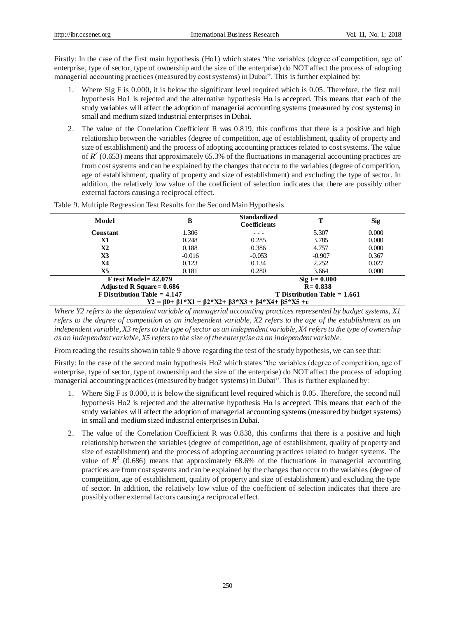Firstly: In the case of the first main hypothesis (Ho1) which states "the variables (degree of competition, age of enterprise, type of sector, type of ownership and the size of the enterprise) do NOT affect the process of adopting managerial accounting practices (measured by cost systems) in Dubai". This is further explained by:

- 1. Where Sig F is 0.000, it is below the significant level required which is 0.05. Therefore, the first null hypothesis Ho1 is rejected and the alternative hypothesis Hα is accepted. This means that each of the study variables will affect the adoption of managerial accounting systems (measured by cost systems) in small and medium sized industrial enterprises in Dubai.
- 2. The value of the Correlation Coefficient R was 0.819, this confirms that there is a positive and high relationship between the variables (degree of competition, age of establishment, quality of property and size of establishment) and the process of adopting accounting practices related to cost systems. The value of  $R^2$  (0.653) means that approximately 65.3% of the fluctuations in managerial accounting practices are from cost systems and can be explained by the changes that occur to the variables (degree of competition, age of establishment, quality of property and size of establishment) and excluding the type of sector. In addition, the relatively low value of the coefficient of selection indicates that there are possibly other external factors causing a reciprocal effect.

| Model                                                                                                                  | в        | <b>Standardized</b><br>Coefficients |          | <b>Sig</b> |  |
|------------------------------------------------------------------------------------------------------------------------|----------|-------------------------------------|----------|------------|--|
| Constant                                                                                                               | 1.306    |                                     | 5.307    | 0.000      |  |
| X1                                                                                                                     | 0.248    | 0.285                               | 3.785    | 0.000      |  |
| X <sub>2</sub>                                                                                                         | 0.188    | 0.386                               | 4.757    | 0.000      |  |
| X3                                                                                                                     | $-0.016$ | $-0.053$                            | $-0.907$ | 0.367      |  |
| X4                                                                                                                     | 0.123    | 0.134                               | 2.252    | 0.027      |  |
| <b>X5</b>                                                                                                              | 0.181    | 0.280                               | 3.664    | 0.000      |  |
| $F$ test Model = 42.079                                                                                                |          | $Sig F = 0.000$                     |          |            |  |
| Adjusted R Square = $0.686$                                                                                            |          | $R = 0.838$                         |          |            |  |
| <b>F</b> Distribution Table $= 4.147$                                                                                  |          | $T$ Distribution Table = 1.661      |          |            |  |
| $Y2 = \beta 0 + \beta 1 \times X1 + \beta 2 \times X2 + \beta 3 \times X3 + \beta 4 \times X4 + \beta 5 \times X5 + e$ |          |                                     |          |            |  |

*Where Y2 refers to the dependent variable of managerial accounting practices represented by budget systems, X1 refers to the degree of competition as an independent variable, X2 refers to the age of the establishment as an independent variable, X3 refers to the type of sector as an independent variable, X4 refers to the type of ownership as an independent variable, X5 refers to the size of the enterprise as an independent variable.* 

From reading the results shown in table 9 above regarding the test of the study hypothesis, we can see that:

Firstly: In the case of the second main hypothesis Ho2 which states "the variables (degree of competition, age of enterprise, type of sector, type of ownership and the size of the enterprise) do NOT affect the process of adopting managerial accounting practices (measured by budget systems) in Dubai". This is further explained by:

- 1. Where Sig F is 0.000, it is below the significant level required which is 0.05. Therefore, the second null hypothesis Ho2 is rejected and the alternative hypothesis Hα is accepted. This means that each of the study variables will affect the adoption of managerial accounting systems (measured by budget systems) in small and medium sized industrial enterprises in Dubai.
- 2. The value of the Correlation Coefficient R was 0.838, this confirms that there is a positive and high relationship between the variables (degree of competition, age of establishment, quality of property and size of establishment) and the process of adopting accounting practices related to budget systems. The value of  $R^2$  (0.686) means that approximately 68.6% of the fluctuations in managerial accounting practices are from cost systems and can be explained by the changes that occur to the variables (degree of competition, age of establishment, quality of property and size of establishment) and excluding the type of sector. In addition, the relatively low value of the coefficient of selection indicates that there are possibly other external factors causing a reciprocal effect.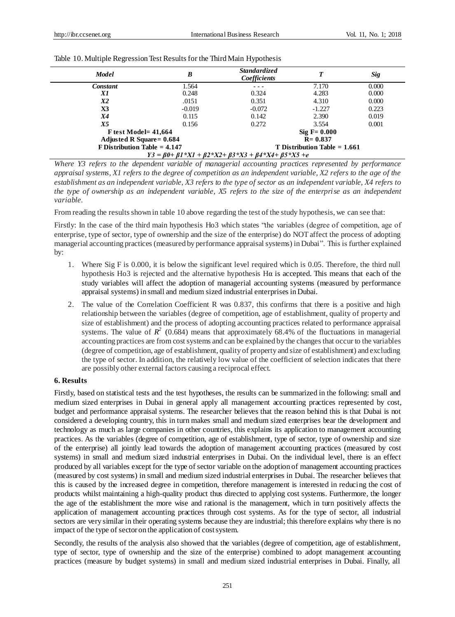| <b>Model</b>                                                                                      | B        | <b>Standardized</b><br>Coefficients |          | <b>Sig</b> |  |
|---------------------------------------------------------------------------------------------------|----------|-------------------------------------|----------|------------|--|
| Constant                                                                                          | l.564    |                                     | 7.170    | 0.000      |  |
| Χl                                                                                                | 0.248    | 0.324                               | 4.283    | 0.000      |  |
| X2                                                                                                | .0151    | 0.351                               | 4.310    | 0.000      |  |
| X3                                                                                                | $-0.019$ | $-0.072$                            | $-1.227$ | 0.223      |  |
| Χ4                                                                                                | 0.115    | 0.142                               | 2.390    | 0.019      |  |
| X5                                                                                                | 0.156    | 0.272                               | 3.554    | 0.001      |  |
| F test Model= $41,664$<br>Adjusted R Square = 0.684                                               |          | $Sig F = 0.000$<br>$R = 0.837$      |          |            |  |
| <b>F</b> Distribution Table $= 4.147$                                                             |          | $T$ Distribution Table = 1.661      |          |            |  |
| $Y3 = \beta\theta + \beta I^* XI + \beta 2^* X2 + \beta 3^* X3 + \beta 4^* X4 + \beta 5^* X5 + e$ |          |                                     |          |            |  |

Table 10. Multiple Regression Test Results for the Third Main Hypothesis

*Where Y3 refers to the dependent variable of managerial accounting practices represented by performance appraisal systems, X1 refers to the degree of competition as an independent variable, X2 refers to the age of the establishment as an independent variable, X3 refers to the type of sector as an independent variable, X4 refers to the type of ownership as an independent variable, X5 refers to the size of the enterprise as an independent variable.* 

From reading the results shown in table 10 above regarding the test of the study hypothesis, we can see that:

Firstly: In the case of the third main hypothesis Ho3 which states "the variables (degree of competition, age of enterprise, type of sector, type of ownership and the size of the enterprise) do NOT affect the process of adopting managerial accounting practices (measured by performance appraisal systems) in Dubai". This is further explained by:

- 1. Where Sig F is 0.000, it is below the significant level required which is 0.05. Therefore, the third null hypothesis Ho3 is rejected and the alternative hypothesis H $\alpha$  is accepted. This means that each of the study variables will affect the adoption of managerial accounting systems (measured by performance appraisal systems) in small and medium sized industrial enterprises in Dubai.
- 2. The value of the Correlation Coefficient R was 0.837, this confirms that there is a positive and high relationship between the variables (degree of competition, age of establishment, quality of property and size of establishment) and the process of adopting accounting practices related to performance appraisal systems. The value of  $R^2$  (0.684) means that approximately 68.4% of the fluctuations in managerial accounting practices are from cost systems and can be explained by the changes that occur to the variables (degree of competition, age of establishment, quality of property and size of establishment) and excluding the type of sector. In addition, the relatively low value of the coefficient of selection indicates that there are possibly other external factors causing a reciprocal effect.

#### **6. Results**

Firstly, based on statistical tests and the test hypotheses, the results can be summarized in the following: small and medium sized enterprises in Dubai in general apply all management accounting practices represented by cost, budget and performance appraisal systems. The researcher believes that the reason behind this is that Dubai is not considered a developing country, this in turn makes small and medium sized enterprises bear the development and technology as much as large companies in other countries, this explains its application to management accounting practices. As the variables (degree of competition, age of establishment, type of sector, type of ownership and size of the enterprise) all jointly lead towards the adoption of management accounting practices (measured by cost systems) in small and medium sized industrial enterprises in Dubai. On the individual level, there is an effect produced by all variables except for the type of sector variable on the adoption of management accounting practices (measured by cost systems) in small and medium sized industrial enterprises in Dubai. The researcher believes that this is caused by the increased degree in competition, therefore management is interested in reducing the cost of products whilst maintaining a high-quality product thus directed to applying cost systems. Furthermore, the longer the age of the establishment the more wise and rational is the management, which in turn positively affects the application of management accounting practices through cost systems. As for the type of sector, all industrial sectors are very similar in their operating systems because they are industrial; this therefore explains why there is no impact of the type of sector on the application of cost system.

Secondly, the results of the analysis also showed that the variables (degree of competition, age of establishment, type of sector, type of ownership and the size of the enterprise) combined to adopt management accounting practices (measure by budget systems) in small and medium sized industrial enterprises in Dubai. Finally, all